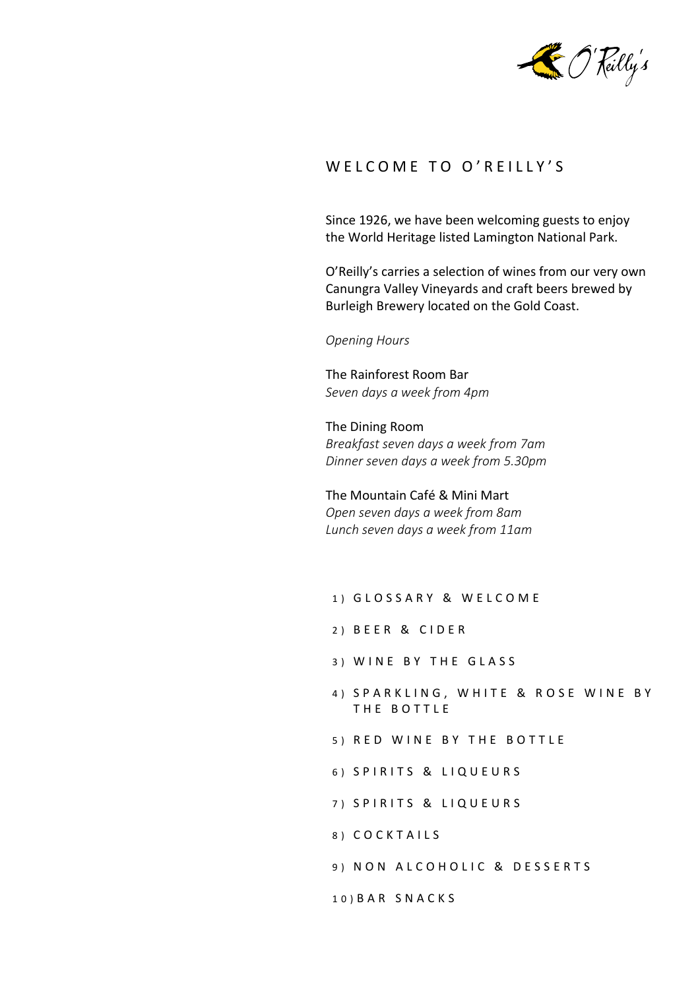

## WELCOME TO O'REILLY'S

Since 1926, we have been welcoming guests to enjoy the World Heritage listed Lamington National Park.

O'Reilly's carries a selection of wines from our very own Canungra Valley Vineyards and craft beers brewed by Burleigh Brewery located on the Gold Coast.

*Opening Hours*

The Rainforest Room Bar *Seven days a week from 4pm*

The Dining Room *Breakfast seven days a week from 7am Dinner seven days a week from 5.30pm*

The Mountain Café & Mini Mart *Open seven days a week from 8am Lunch seven days a week from 11am*

- 1) GLOSSARY & WELCOME
- 2) BEER & CIDER
- 3) WINE BY THE GLASS
- 4) SPARKLING, WHITE & ROSE WINE BY THE BOTTLE
- 5) RED WINE BY THE BOTTLE
- 6) SPIRITS & LIQUEURS
- 7) SPIRITS & LIQUEURS
- 8 ) C O C K T A I L S
- 9) NON ALCOHOLIC & DESSERTS

10) B A R S N A C K S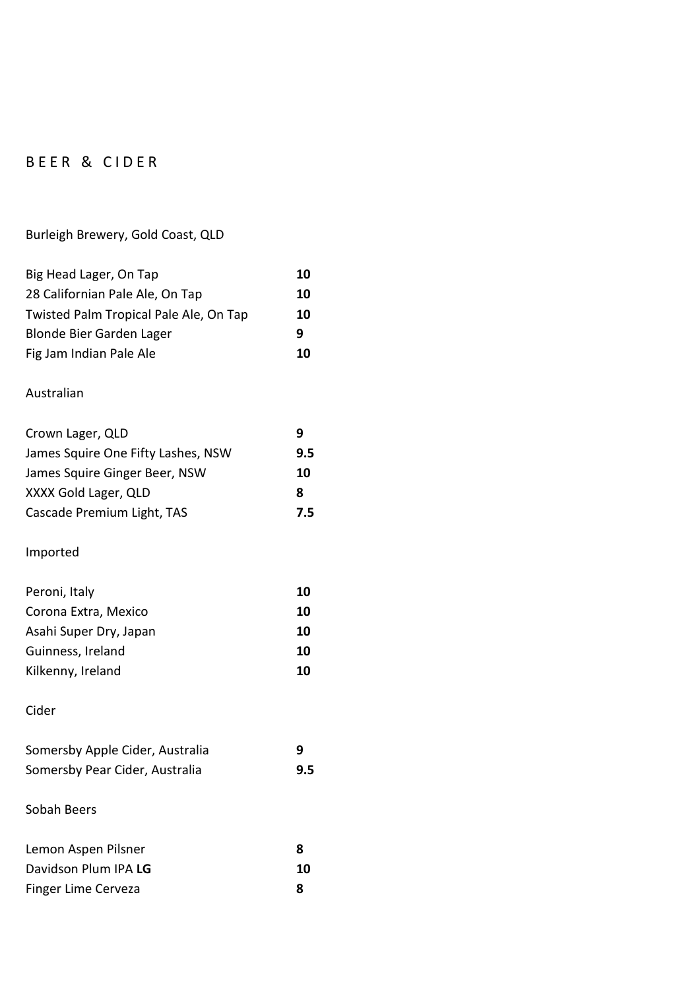# BEER & CIDER

## Burleigh Brewery, Gold Coast, QLD

| Big Head Lager, On Tap                 | 10  |
|----------------------------------------|-----|
| 28 Californian Pale Ale, On Tap        | 10  |
| Twisted Palm Tropical Pale Ale, On Tap | 10  |
| Blonde Bier Garden Lager               | 9   |
| Fig Jam Indian Pale Ale                | 10  |
| Australian                             |     |
| Crown Lager, QLD                       | 9   |
| James Squire One Fifty Lashes, NSW     | 9.5 |
| James Squire Ginger Beer, NSW          | 10  |
| XXXX Gold Lager, QLD                   | 8   |
| Cascade Premium Light, TAS             | 7.5 |
| Imported                               |     |
| Peroni, Italy                          | 10  |
| Corona Extra, Mexico                   | 10  |
| Asahi Super Dry, Japan                 | 10  |
| Guinness, Ireland                      | 10  |
| Kilkenny, Ireland                      | 10  |
| Cider                                  |     |
| Somersby Apple Cider, Australia        | 9   |
| Somersby Pear Cider, Australia         | 9.5 |
| Sobah Beers                            |     |
| Lemon Aspen Pilsner                    | 8   |
| Davidson Plum IPA LG                   | 10  |
| <b>Finger Lime Cerveza</b>             | 8   |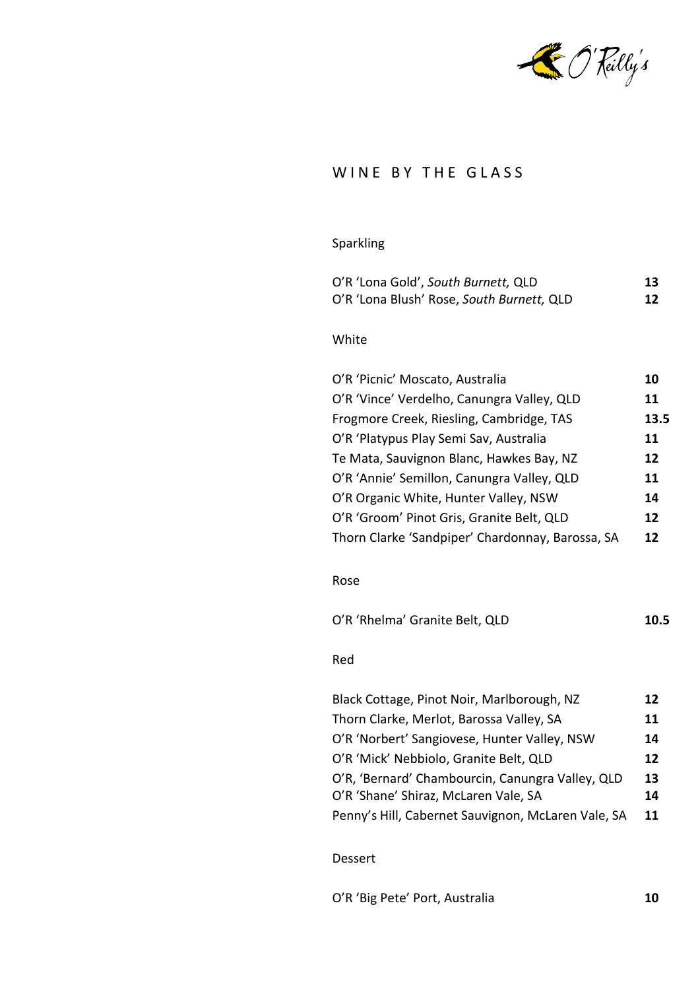

## WINE BY THE GLASS

### Sparkling

| O'R 'Lona Gold', South Burnett, QLD       | 13 |
|-------------------------------------------|----|
| O'R 'Lona Blush' Rose, South Burnett, QLD | 12 |

#### White

| 10   |
|------|
| 11   |
| 13.5 |
| 11   |
| 12   |
| 11   |
| 14   |
| 12   |
| 12   |
|      |

#### Rose

| 10.5 |
|------|
|      |

#### Red

| Black Cottage, Pinot Noir, Marlborough, NZ         | 12 |
|----------------------------------------------------|----|
| Thorn Clarke, Merlot, Barossa Valley, SA           | 11 |
| O'R 'Norbert' Sangiovese, Hunter Valley, NSW       | 14 |
| O'R 'Mick' Nebbiolo, Granite Belt, QLD             | 12 |
| O'R, 'Bernard' Chambourcin, Canungra Valley, QLD   | 13 |
| O'R 'Shane' Shiraz, McLaren Vale, SA               | 14 |
| Penny's Hill, Cabernet Sauvignon, McLaren Vale, SA | 11 |

#### Dessert

O'R 'Big Pete' Port, Australia **10**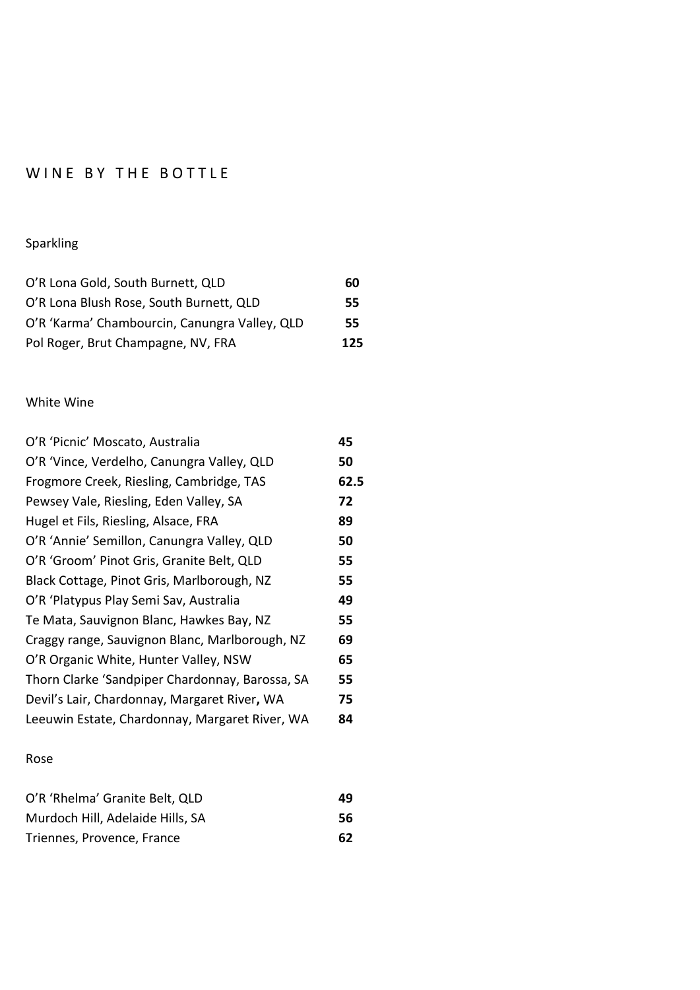# WINE BY THE BOTTLE

## Sparkling

| O'R Lona Gold, South Burnett, QLD             | 60  |
|-----------------------------------------------|-----|
| O'R Lona Blush Rose, South Burnett, QLD       | 55  |
| O'R 'Karma' Chambourcin, Canungra Valley, QLD | 55. |
| Pol Roger, Brut Champagne, NV, FRA            | 125 |

#### White Wine

| O'R 'Picnic' Moscato, Australia                 | 45   |
|-------------------------------------------------|------|
| O'R 'Vince, Verdelho, Canungra Valley, QLD      | 50   |
| Frogmore Creek, Riesling, Cambridge, TAS        | 62.5 |
| Pewsey Vale, Riesling, Eden Valley, SA          | 72   |
| Hugel et Fils, Riesling, Alsace, FRA            | 89   |
| O'R 'Annie' Semillon, Canungra Valley, QLD      | 50   |
| O'R 'Groom' Pinot Gris, Granite Belt, QLD       | 55   |
| Black Cottage, Pinot Gris, Marlborough, NZ      | 55   |
| O'R 'Platypus Play Semi Sav, Australia          | 49   |
| Te Mata, Sauvignon Blanc, Hawkes Bay, NZ        | 55   |
| Craggy range, Sauvignon Blanc, Marlborough, NZ  | 69   |
| O'R Organic White, Hunter Valley, NSW           | 65   |
| Thorn Clarke 'Sandpiper Chardonnay, Barossa, SA | 55   |
| Devil's Lair, Chardonnay, Margaret River, WA    | 75   |
| Leeuwin Estate, Chardonnay, Margaret River, WA  | 84   |
|                                                 |      |

#### Rose

| O'R 'Rhelma' Granite Belt, QLD   | 49 |
|----------------------------------|----|
| Murdoch Hill, Adelaide Hills, SA | 56 |
| Triennes, Provence, France       | 62 |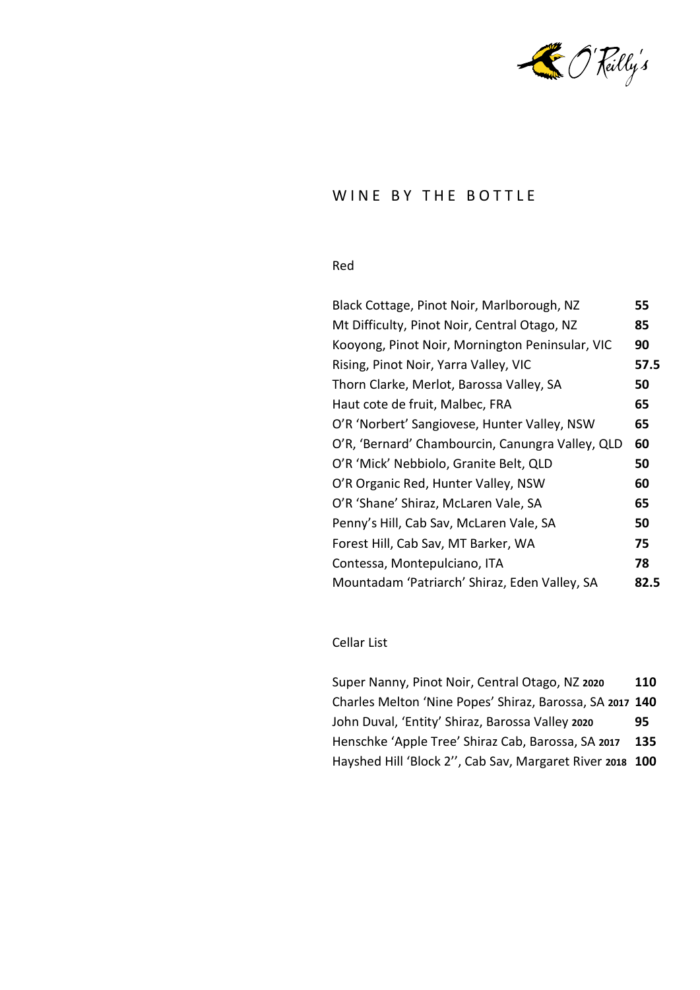

### WINE BY THE BOTTLE

### Red

| Black Cottage, Pinot Noir, Marlborough, NZ       | 55   |
|--------------------------------------------------|------|
| Mt Difficulty, Pinot Noir, Central Otago, NZ     | 85   |
| Kooyong, Pinot Noir, Mornington Peninsular, VIC  | 90   |
| Rising, Pinot Noir, Yarra Valley, VIC            | 57.5 |
| Thorn Clarke, Merlot, Barossa Valley, SA         | 50   |
| Haut cote de fruit, Malbec, FRA                  | 65   |
| O'R 'Norbert' Sangiovese, Hunter Valley, NSW     | 65   |
| O'R, 'Bernard' Chambourcin, Canungra Valley, QLD | 60   |
| O'R 'Mick' Nebbiolo, Granite Belt, QLD           | 50   |
| O'R Organic Red, Hunter Valley, NSW              | 60   |
| O'R 'Shane' Shiraz, McLaren Vale, SA             | 65   |
| Penny's Hill, Cab Sav, McLaren Vale, SA          | 50   |
| Forest Hill, Cab Sav, MT Barker, WA              | 75   |
| Contessa, Montepulciano, ITA                     | 78   |
| Mountadam 'Patriarch' Shiraz, Eden Valley, SA    | 82.5 |
|                                                  |      |

#### Cellar List

Super Nanny, Pinot Noir, Central Otago, NZ **2020 110** Charles Melton 'Nine Popes' Shiraz, Barossa, SA **2017 140** John Duval, 'Entity' Shiraz, Barossa Valley **2020 95** Henschke 'Apple Tree' Shiraz Cab, Barossa, SA **2017 135** Hayshed Hill 'Block 2'', Cab Sav, Margaret River **2018 100**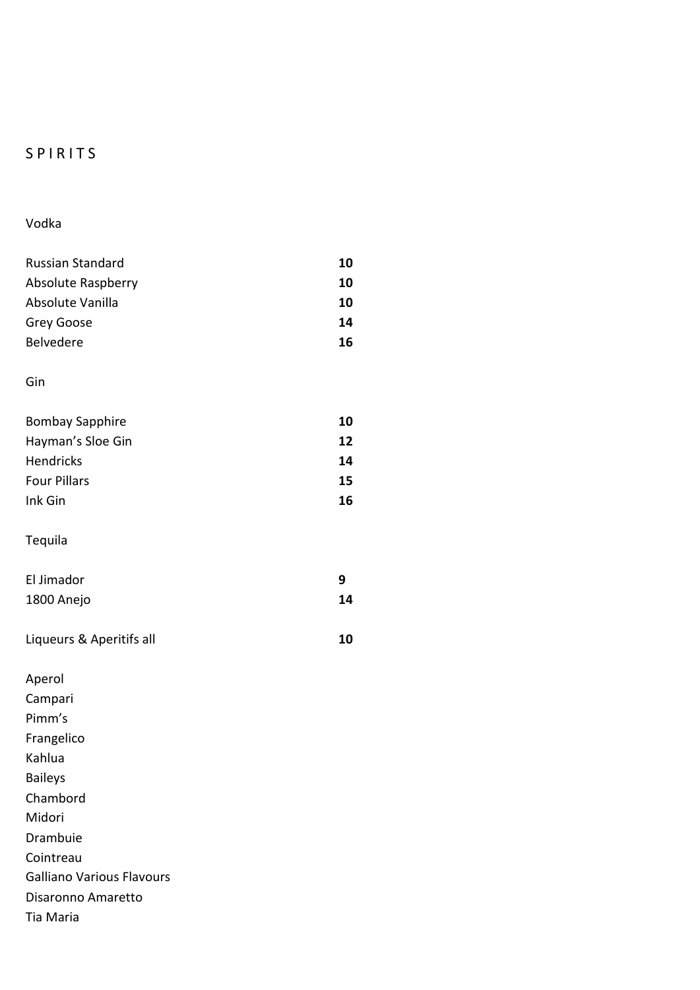# S P I R I T S

Vodka

| <b>Russian Standard</b>          | 10 |
|----------------------------------|----|
| <b>Absolute Raspberry</b>        | 10 |
| Absolute Vanilla                 | 10 |
| Grey Goose                       | 14 |
| Belvedere                        | 16 |
|                                  |    |
| Gin                              |    |
|                                  |    |
| <b>Bombay Sapphire</b>           | 10 |
| Hayman's Sloe Gin                | 12 |
| Hendricks                        | 14 |
| <b>Four Pillars</b>              | 15 |
| Ink Gin                          | 16 |
|                                  |    |
| Tequila                          |    |
|                                  |    |
| El Jimador                       | 9  |
| 1800 Anejo                       | 14 |
|                                  |    |
| Liqueurs & Aperitifs all         | 10 |
| Aperol                           |    |
| Campari                          |    |
| Pimm's                           |    |
| Frangelico                       |    |
| Kahlua                           |    |
| <b>Baileys</b>                   |    |
| Chambord                         |    |
| Midori                           |    |
| Drambuie                         |    |
| Cointreau                        |    |
| <b>Galliano Various Flavours</b> |    |

Disaronno Amaretto

Tia Maria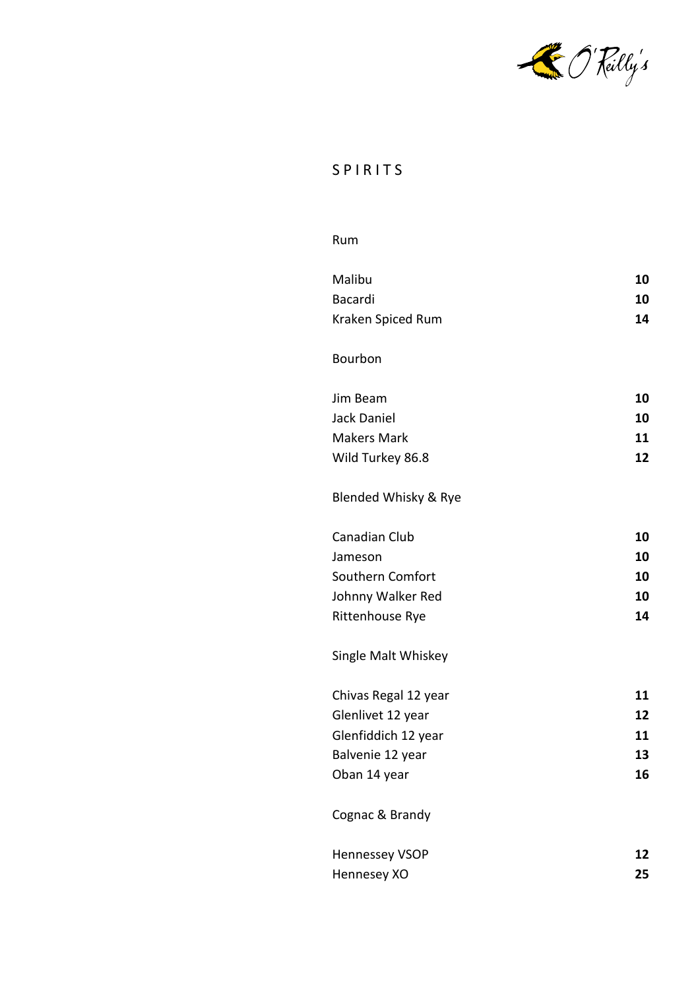

# S P I R I T S

#### Rum

| Malibu                | 10 |
|-----------------------|----|
| <b>Bacardi</b>        | 10 |
| Kraken Spiced Rum     | 14 |
|                       |    |
| Bourbon               |    |
| Jim Beam              | 10 |
| <b>Jack Daniel</b>    | 10 |
| <b>Makers Mark</b>    | 11 |
|                       | 12 |
| Wild Turkey 86.8      |    |
| Blended Whisky & Rye  |    |
| Canadian Club         | 10 |
| Jameson               | 10 |
| Southern Comfort      | 10 |
| Johnny Walker Red     | 10 |
| Rittenhouse Rye       | 14 |
|                       |    |
| Single Malt Whiskey   |    |
| Chivas Regal 12 year  | 11 |
| Glenlivet 12 year     | 12 |
| Glenfiddich 12 year   | 11 |
| Balvenie 12 year      | 13 |
| Oban 14 year          | 16 |
| Cognac & Brandy       |    |
| <b>Hennessey VSOP</b> | 12 |
| Hennesey XO           | 25 |
|                       |    |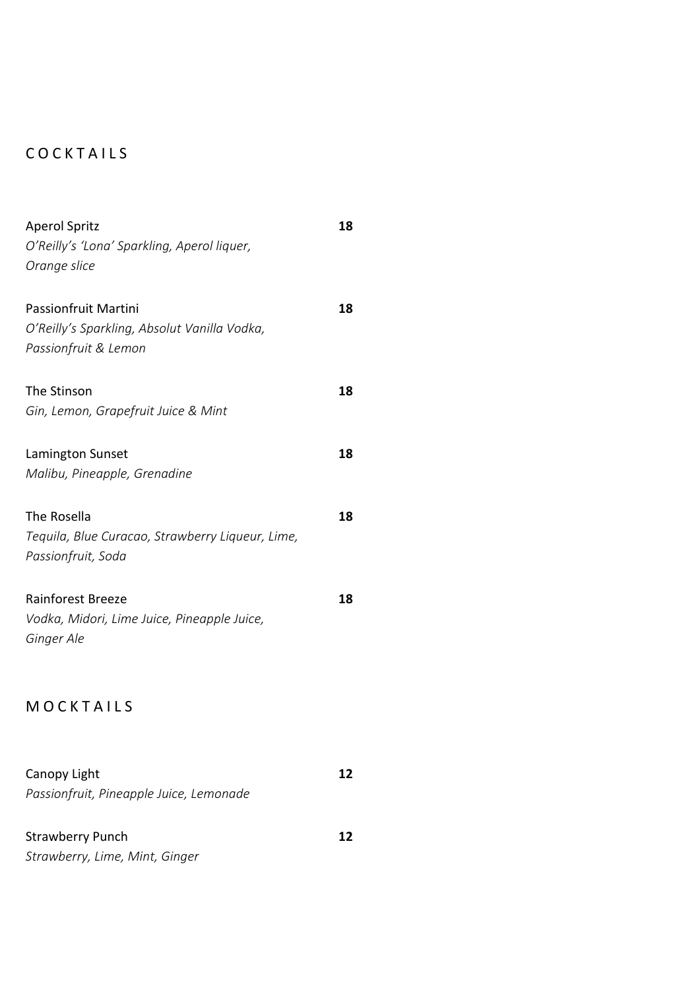# C O C K T A I L S

| <b>Aperol Spritz</b>                             | 18 |
|--------------------------------------------------|----|
| O'Reilly's 'Lona' Sparkling, Aperol liquer,      |    |
| Orange slice                                     |    |
|                                                  |    |
| <b>Passionfruit Martini</b>                      | 18 |
| O'Reilly's Sparkling, Absolut Vanilla Vodka,     |    |
| Passionfruit & Lemon                             |    |
| The Stinson                                      | 18 |
| Gin, Lemon, Grapefruit Juice & Mint              |    |
|                                                  |    |
| Lamington Sunset                                 | 18 |
| Malibu, Pineapple, Grenadine                     |    |
|                                                  |    |
| The Rosella                                      | 18 |
| Tequila, Blue Curacao, Strawberry Liqueur, Lime, |    |
| Passionfruit, Soda                               |    |
|                                                  |    |
| <b>Rainforest Breeze</b>                         | 18 |
| Vodka, Midori, Lime Juice, Pineapple Juice,      |    |
| Ginger Ale                                       |    |
|                                                  |    |
| MOCKTAILS                                        |    |
|                                                  |    |
|                                                  |    |
| Canopy Light                                     | 12 |
| Passionfruit, Pineapple Juice, Lemonade          |    |
|                                                  |    |
| <b>Strawberry Punch</b>                          | 12 |
| Strawberry, Lime, Mint, Ginger                   |    |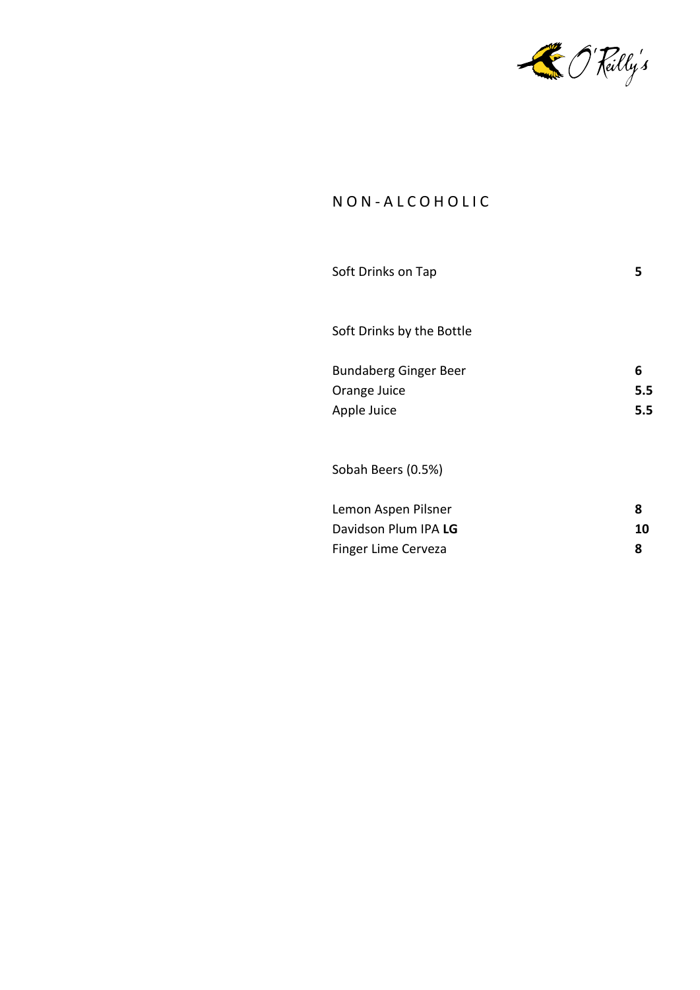

## N O N - A L C O H O L I C

| Soft Drinks on Tap                                                 | 5               |
|--------------------------------------------------------------------|-----------------|
| Soft Drinks by the Bottle                                          |                 |
| <b>Bundaberg Ginger Beer</b><br>Orange Juice<br>Apple Juice        | 6<br>5.5<br>5.5 |
| Sobah Beers (0.5%)                                                 |                 |
| Lemon Aspen Pilsner<br>Davidson Plum IPA LG<br>Finger Lime Cerveza | 8<br>10<br>8    |